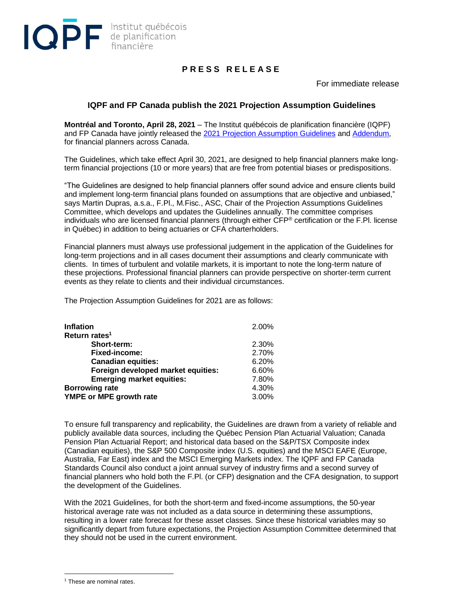

## **P R E S S R E L E A S E**

For immediate release

## **IQPF and FP Canada publish the 2021 Projection Assumption Guidelines**

**Montréal and Toronto, April 28, 2021** – The Institut québécois de planification financière (IQPF) and FP Canada have jointly released the [2021 Projection Assumption Guidelines](https://www.iqpf.org/docs/default-source/outils/iqpf-2021-projection-assumption-guidelines.pdf) and [Addendum,](https://www.iqpf.org/docs/default-source/outils/iqpf-2021pag-addendum.xlsx) for financial planners across Canada.

The Guidelines, which take effect April 30, 2021, are designed to help financial planners make longterm financial projections (10 or more years) that are free from potential biases or predispositions.

"The Guidelines are designed to help financial planners offer sound advice and ensure clients build and implement long-term financial plans founded on assumptions that are objective and unbiased," says Martin Dupras, a.s.a., F.Pl., M.Fisc., ASC, Chair of the Projection Assumptions Guidelines Committee, which develops and updates the Guidelines annually. The committee comprises individuals who are licensed financial planners (through either CFP® certification or the F.Pl. license in Québec) in addition to being actuaries or CFA charterholders.

Financial planners must always use professional judgement in the application of the Guidelines for long-term projections and in all cases document their assumptions and clearly communicate with clients. In times of turbulent and volatile markets, it is important to note the long-term nature of these projections. Professional financial planners can provide perspective on shorter-term current events as they relate to clients and their individual circumstances.

The Projection Assumption Guidelines for 2021 are as follows:

| <b>Inflation</b>                   | 2.00% |
|------------------------------------|-------|
| Return rates <sup>1</sup>          |       |
| Short-term:                        | 2.30% |
| <b>Fixed-income:</b>               | 2.70% |
| <b>Canadian equities:</b>          | 6.20% |
| Foreign developed market equities: | 6.60% |
| <b>Emerging market equities:</b>   | 7.80% |
| <b>Borrowing rate</b>              | 4.30% |
| YMPE or MPE growth rate            | 3.00% |

To ensure full transparency and replicability, the Guidelines are drawn from a variety of reliable and publicly available data sources, including the Québec Pension Plan Actuarial Valuation; Canada Pension Plan Actuarial Report; and historical data based on the S&P/TSX Composite index (Canadian equities), the S&P 500 Composite index (U.S. equities) and the MSCI EAFE (Europe, Australia, Far East) index and the MSCI Emerging Markets index. The IQPF and FP Canada Standards Council also conduct a joint annual survey of industry firms and a second survey of financial planners who hold both the F.Pl. (or CFP) designation and the CFA designation, to support the development of the Guidelines.

With the 2021 Guidelines, for both the short-term and fixed-income assumptions, the 50-year historical average rate was not included as a data source in determining these assumptions, resulting in a lower rate forecast for these asset classes. Since these historical variables may so significantly depart from future expectations, the Projection Assumption Committee determined that they should not be used in the current environment.

<sup>&</sup>lt;sup>1</sup> These are nominal rates.